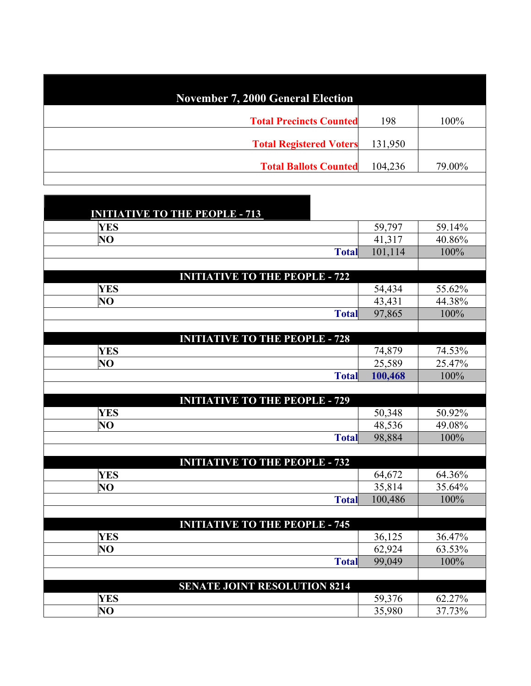| <b>November 7, 2000 General Election</b> |         |        |
|------------------------------------------|---------|--------|
| <b>Total Precincts Counted</b>           | 198     | 100%   |
| <b>Total Registered Voters</b>           | 131,950 |        |
| <b>Total Ballots Counted</b>             | 104,236 | 79.00% |
|                                          |         |        |
|                                          |         |        |
| <b>INITIATIVE TO THE PEOPLE - 713</b>    |         |        |
| <b>YES</b>                               | 59,797  | 59.14% |
| NO                                       | 41,317  | 40.86% |
| <b>Total</b>                             | 101,114 | 100%   |
|                                          |         |        |
| <b>INITIATIVE TO THE PEOPLE - 722</b>    |         |        |
| <b>YES</b>                               | 54,434  | 55.62% |
| $\overline{\text{NO}}$                   | 43,431  | 44.38% |
| <b>Total</b>                             | 97,865  | 100%   |
|                                          |         |        |
| <b>INITIATIVE TO THE PEOPLE - 728</b>    |         |        |
| <b>YES</b>                               | 74,879  | 74.53% |
| $\overline{\text{NO}}$                   | 25,589  | 25.47% |
| <b>Total</b>                             | 100,468 | 100%   |
| <b>INITIATIVE TO THE PEOPLE - 729</b>    |         |        |
| <b>YES</b>                               | 50,348  | 50.92% |
| NO                                       | 48,536  | 49.08% |
| <b>Total</b>                             | 98,884  | 100%   |
|                                          |         |        |
| <b>INITIATIVE TO THE PEOPLE - 732</b>    |         |        |
| <b>YES</b>                               | 64,672  | 64.36% |
| $\overline{\text{NO}}$                   | 35,814  | 35.64% |
| <b>Total</b>                             | 100,486 | 100%   |
|                                          |         |        |
| <b>INITIATIVE TO THE PEOPLE - 745</b>    |         |        |
| <b>YES</b>                               | 36,125  | 36.47% |
| NO                                       | 62,924  | 63.53% |
| <b>Total</b>                             | 99,049  | 100%   |
|                                          |         |        |
| <b>SENATE JOINT RESOLUTION 8214</b>      |         |        |
| <b>YES</b>                               | 59,376  | 62.27% |
| $\overline{N}$                           | 35,980  | 37.73% |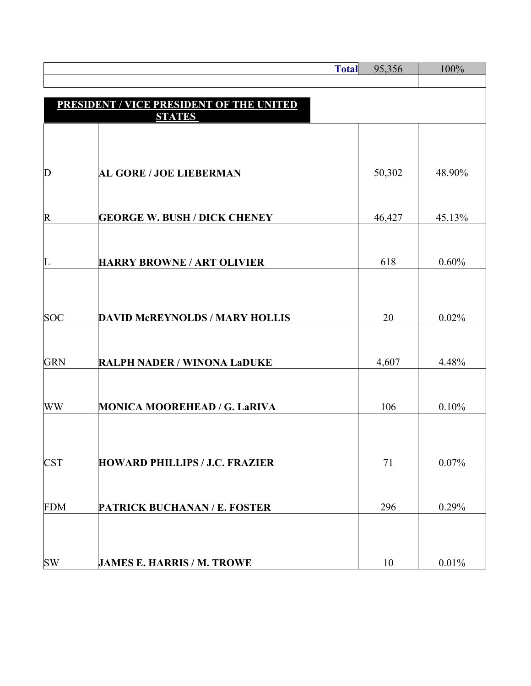|            |                                                                  | <b>Total</b> | 95,356 | 100%   |
|------------|------------------------------------------------------------------|--------------|--------|--------|
|            |                                                                  |              |        |        |
|            | <b>PRESIDENT / VICE PRESIDENT OF THE UNITED</b><br><b>STATES</b> |              |        |        |
|            |                                                                  |              |        |        |
|            |                                                                  |              |        |        |
| D          | <b>AL GORE / JOE LIEBERMAN</b>                                   |              | 50,302 | 48.90% |
|            |                                                                  |              |        |        |
|            |                                                                  |              |        |        |
| R          | <b>GEORGE W. BUSH / DICK CHENEY</b>                              |              | 46,427 | 45.13% |
|            |                                                                  |              |        |        |
| L          | <b>HARRY BROWNE / ART OLIVIER</b>                                |              | 618    | 0.60%  |
|            |                                                                  |              |        |        |
|            |                                                                  |              |        |        |
| <b>SOC</b> | <b>DAVID McREYNOLDS / MARY HOLLIS</b>                            |              | 20     | 0.02%  |
|            |                                                                  |              |        |        |
| <b>GRN</b> | <b>RALPH NADER / WINONA LaDUKE</b>                               |              | 4,607  | 4.48%  |
|            |                                                                  |              |        |        |
| WW         | <b>MONICA MOOREHEAD / G. LaRIVA</b>                              |              | 106    | 0.10%  |
|            |                                                                  |              |        |        |
|            |                                                                  |              |        |        |
| <b>CST</b> | <b>HOWARD PHILLIPS / J.C. FRAZIER</b>                            |              | 71     | 0.07%  |
|            |                                                                  |              |        |        |
| <b>FDM</b> | PATRICK BUCHANAN / E. FOSTER                                     |              | 296    | 0.29%  |
|            |                                                                  |              |        |        |
|            |                                                                  |              |        |        |
| <b>SW</b>  | <b>JAMES E. HARRIS / M. TROWE</b>                                |              | 10     | 0.01%  |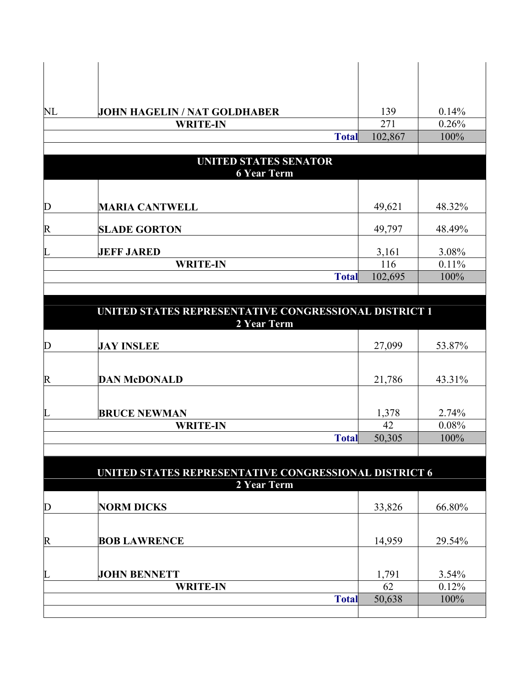| NL                    | JOHN HAGELIN / NAT GOLDHABER | 139     | 0.14%  |
|-----------------------|------------------------------|---------|--------|
|                       | <b>WRITE-IN</b>              | 271     | 0.26%  |
|                       | <b>Total</b>                 | 102,867 | 100%   |
|                       |                              |         |        |
|                       | UNITED STATES SENATOR        |         |        |
|                       | <b>6 Year Term</b>           |         |        |
|                       |                              |         |        |
| $\overline{\text{D}}$ | <b>MARIA CANTWELL</b>        | 49,621  | 48.32% |
| $\overline{\text{R}}$ | <b>SLADE GORTON</b>          | 49,797  | 48.49% |
| L                     | <b>JEFF JARED</b>            | 3,161   | 3.08%  |
|                       | <b>WRITE-IN</b>              | 116     | 0.11%  |
|                       | <b>Total</b>                 | 102,695 | 100%   |
|                       |                              |         |        |

| UNITED STATES REPRESENTATIVE CONGRESSIONAL DISTRICT 1<br>2 Year Term |                     |        |        |
|----------------------------------------------------------------------|---------------------|--------|--------|
| D                                                                    | <b>JAY INSLEE</b>   | 27,099 | 53.87% |
| R                                                                    | <b>DAN McDONALD</b> | 21,786 | 43.31% |
| L                                                                    | <b>BRUCE NEWMAN</b> | 1,378  | 2.74%  |
|                                                                      | <b>WRITE-IN</b>     | 42     | 0.08%  |
|                                                                      | <b>Total</b>        | 50,305 | 100%   |

| <b>UNITED STATES REPRESENTATIVE CONGRESSIONAL DISTRICT 6</b><br>2 Year Term |                     |        |          |  |
|-----------------------------------------------------------------------------|---------------------|--------|----------|--|
| D                                                                           | <b>NORM DICKS</b>   | 33,826 | 66.80%   |  |
| R                                                                           | <b>BOB LAWRENCE</b> | 14,959 | 29.54%   |  |
|                                                                             |                     |        |          |  |
| L                                                                           | <b>JOHN BENNETT</b> | 1,791  | $3.54\%$ |  |
|                                                                             | <b>WRITE-IN</b>     | 62     | 0.12%    |  |
|                                                                             | <b>Total</b>        | 50,638 | 100%     |  |
|                                                                             |                     |        |          |  |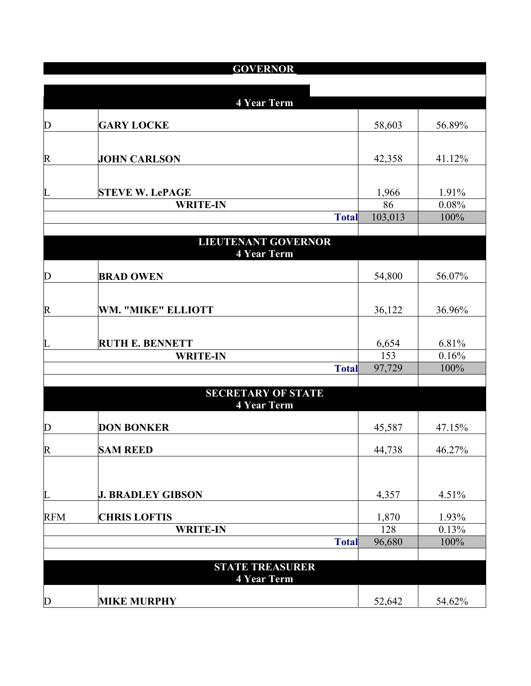|                         | <b>GOVERNOR</b>                 |               |               |
|-------------------------|---------------------------------|---------------|---------------|
|                         |                                 |               |               |
|                         | <b>4 Year Term</b>              |               |               |
|                         |                                 |               |               |
| $\overline{\mathrm{D}}$ | <b>GARY LOCKE</b>               | 58,603        | 56.89%        |
|                         |                                 |               |               |
| $\overline{\text{R}}$   | <b>JOHN CARLSON</b>             | 42,358        | 41.12%        |
|                         |                                 |               |               |
|                         |                                 |               |               |
| $\overline{L}$          | <b>STEVE W. LePAGE</b>          | 1,966         | 1.91%         |
|                         | <b>WRITE-IN</b><br><b>Total</b> | 86<br>103,013 | 0.08%<br>100% |
|                         |                                 |               |               |
|                         | <b>LIEUTENANT GOVERNOR</b>      |               |               |
|                         | <b>4 Year Term</b>              |               |               |
|                         |                                 |               |               |
| $\mathbf D$             | <b>BRAD OWEN</b>                | 54,800        | 56.07%        |
|                         |                                 |               |               |
| $\overline{\text{R}}$   | WM. "MIKE" ELLIOTT              | 36,122        | 36.96%        |
|                         |                                 |               |               |
| L                       | <b>RUTH E. BENNETT</b>          | 6,654         | 6.81%         |
|                         | <b>WRITE-IN</b>                 | 153           | 0.16%         |
|                         | <b>Total</b>                    | 97,729        | 100%          |
|                         |                                 |               |               |
|                         | <b>SECRETARY OF STATE</b>       |               |               |
|                         | <b>4 Year Term</b>              |               |               |
| $\mathbf D$             | <b>DON BONKER</b>               | 45,587        | 47.15%        |
|                         |                                 |               |               |
| $\overline{\text{R}}$   | <b>SAM REED</b>                 | 44,738        | 46.27%        |
|                         |                                 |               |               |
|                         |                                 |               |               |
| L                       | <b>J. BRADLEY GIBSON</b>        | 4,357         | 4.51%         |
| <b>RFM</b>              | <b>CHRIS LOFTIS</b>             | 1,870         | 1.93%         |
|                         | <b>WRITE-IN</b>                 | 128           | 0.13%         |
|                         | <b>Total</b>                    | 96,680        | 100%          |
|                         |                                 |               |               |
|                         | <b>STATE TREASURER</b>          |               |               |
|                         | <b>4 Year Term</b>              |               |               |
| $\mathbf{D}$            | <b>MIKE MURPHY</b>              | 52,642        | 54.62%        |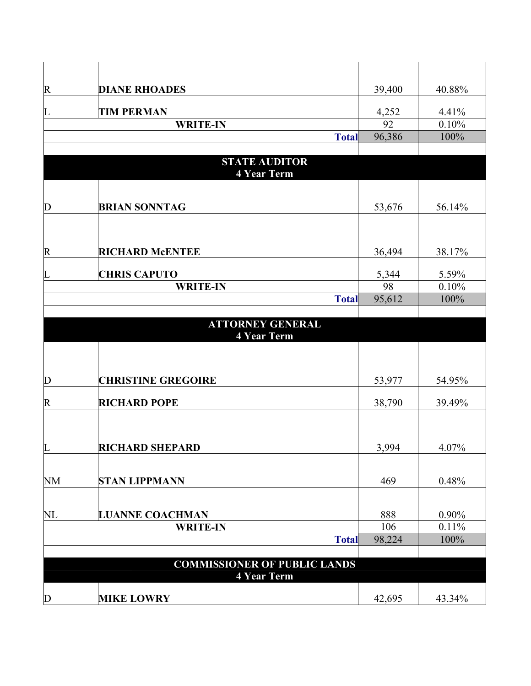| R                     | <b>DIANE RHOADES</b>                | 39,400 | 40.88%   |
|-----------------------|-------------------------------------|--------|----------|
| L                     | <b>TIM PERMAN</b>                   | 4,252  | 4.41%    |
|                       | <b>WRITE-IN</b>                     | 92     | 0.10%    |
|                       | <b>Total</b>                        | 96,386 | 100%     |
|                       |                                     |        |          |
|                       | <b>STATE AUDITOR</b>                |        |          |
|                       | <b>4 Year Term</b>                  |        |          |
|                       |                                     |        |          |
| D                     | <b>BRIAN SONNTAG</b>                | 53,676 | 56.14%   |
|                       |                                     |        |          |
|                       |                                     |        |          |
|                       |                                     |        |          |
| $\mathsf R$           | <b>RICHARD McENTEE</b>              | 36,494 | 38.17%   |
| L                     | <b>CHRIS CAPUTO</b>                 | 5,344  | 5.59%    |
|                       | <b>WRITE-IN</b>                     | 98     | 0.10%    |
|                       | <b>Total</b>                        | 95,612 | 100%     |
|                       |                                     |        |          |
|                       | <b>ATTORNEY GENERAL</b>             |        |          |
|                       | <b>4 Year Term</b>                  |        |          |
|                       |                                     |        |          |
|                       |                                     |        |          |
| D                     | <b>CHRISTINE GREGOIRE</b>           | 53,977 | 54.95%   |
|                       |                                     |        |          |
| $\overline{\text{R}}$ | <b>RICHARD POPE</b>                 | 38,790 | 39.49%   |
|                       |                                     |        |          |
|                       |                                     |        |          |
| L                     | <b>RICHARD SHEPARD</b>              | 3,994  | 4.07%    |
|                       |                                     |        |          |
| NM                    | <b>STAN LIPPMANN</b>                | 469    | 0.48%    |
|                       |                                     |        |          |
|                       |                                     |        |          |
| $\rm NL$              | <b>LUANNE COACHMAN</b>              | 888    | $0.90\%$ |
|                       | <b>WRITE-IN</b>                     | 106    | 0.11%    |
|                       | <b>Total</b>                        | 98,224 | 100%     |
|                       | <b>COMMISSIONER OF PUBLIC LANDS</b> |        |          |
|                       | <b>4 Year Term</b>                  |        |          |
|                       |                                     |        |          |
| D                     | <b>MIKE LOWRY</b>                   | 42,695 | 43.34%   |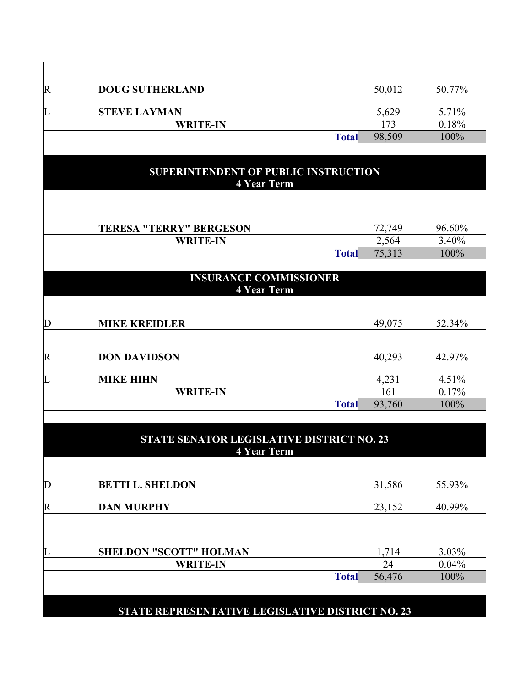| $\mathsf{R}$            | <b>DOUG SUTHERLAND</b>                                          | 50,012 | 50.77% |
|-------------------------|-----------------------------------------------------------------|--------|--------|
| L                       | <b>STEVE LAYMAN</b>                                             | 5,629  | 5.71%  |
|                         | <b>WRITE-IN</b>                                                 | 173    | 0.18%  |
|                         | <b>Total</b>                                                    | 98,509 | 100%   |
|                         |                                                                 |        |        |
|                         | SUPERINTENDENT OF PUBLIC INSTRUCTION<br><b>4 Year Term</b>      |        |        |
|                         | <b>TERESA "TERRY" BERGESON</b>                                  | 72,749 | 96.60% |
|                         | <b>WRITE-IN</b>                                                 | 2,564  | 3.40%  |
|                         | <b>Total</b>                                                    | 75,313 | 100%   |
|                         |                                                                 |        |        |
|                         | <b>INSURANCE COMMISSIONER</b><br><b>4 Year Term</b>             |        |        |
|                         |                                                                 |        |        |
| $\overline{\mathsf{D}}$ | <b>MIKE KREIDLER</b>                                            | 49,075 | 52.34% |
| $\overline{\text{R}}$   | <b>DON DAVIDSON</b>                                             | 40,293 | 42.97% |
| L                       | <b>MIKE HIHN</b>                                                | 4,231  | 4.51%  |
|                         | <b>WRITE-IN</b>                                                 | 161    | 0.17%  |
|                         | <b>Total</b>                                                    | 93,760 | 100%   |
|                         | STATE SENATOR LEGISLATIVE DISTRICT NO. 23<br><b>4 Year Term</b> |        |        |
| $\mathbf{D}$            | <b>BETTI L. SHELDON</b>                                         | 31,586 | 55.93% |
|                         |                                                                 |        |        |
| $\mathsf{R}% _{T}$      | <b>DAN MURPHY</b>                                               | 23,152 | 40.99% |
| L                       | <b>SHELDON "SCOTT" HOLMAN</b>                                   | 1,714  | 3.03%  |

**WRITE-IN** 24 0.04%<br> **Total** 56,476 100% 56,476 **STATE REPRESENTATIVE LEGISLATIVE DISTRICT NO. 23**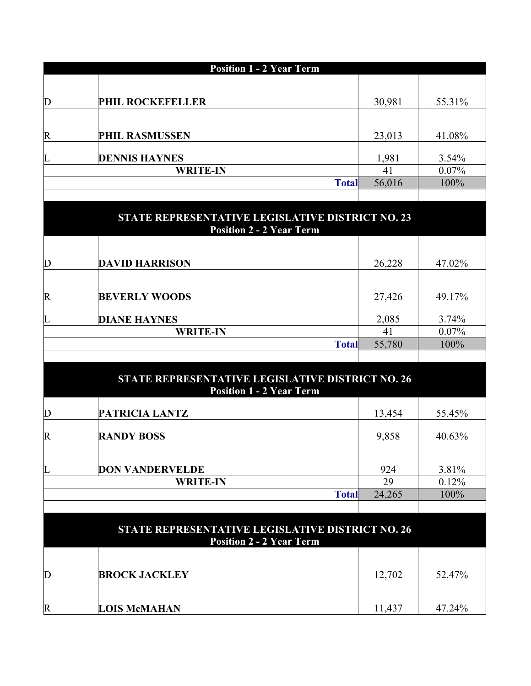|             | <b>Position 1 - 2 Year Term</b> |        |          |  |
|-------------|---------------------------------|--------|----------|--|
|             |                                 |        |          |  |
| $\mathbf D$ | PHIL ROCKEFELLER                | 30,981 | 55.31%   |  |
|             |                                 |        |          |  |
| $\mathbb R$ | <b>PHIL RASMUSSEN</b>           | 23,013 | 41.08%   |  |
| L           | <b>DENNIS HAYNES</b>            | 1,981  | $3.54\%$ |  |
|             | <b>WRITE-IN</b>                 | 41     | 0.07%    |  |
|             | <b>Total</b>                    | 56,016 | 100%     |  |
|             |                                 |        |          |  |

|                    | STATE REPRESENTATIVE LEGISLATIVE DISTRICT NO. 23<br><b>Position 2 - 2 Year Term</b> |        |          |  |
|--------------------|-------------------------------------------------------------------------------------|--------|----------|--|
|                    |                                                                                     |        |          |  |
| $\overline{\rm D}$ | <b>DAVID HARRISON</b>                                                               | 26,228 | 47.02%   |  |
|                    |                                                                                     |        |          |  |
| R                  | <b>BEVERLY WOODS</b>                                                                | 27,426 | 49.17%   |  |
|                    | <b>DIANE HAYNES</b>                                                                 | 2,085  | 3.74%    |  |
|                    | <b>WRITE-IN</b>                                                                     | 41     | $0.07\%$ |  |
|                    | <b>Total</b>                                                                        | 55,780 | 100%     |  |
|                    |                                                                                     |        |          |  |

|             | <b>STATE REPRESENTATIVE LEGISLATIVE DISTRICT NO. 26</b><br><b>Position 1 - 2 Year Term</b> |        |        |  |
|-------------|--------------------------------------------------------------------------------------------|--------|--------|--|
| D           | <b>PATRICIA LANTZ</b>                                                                      | 13,454 | 55.45% |  |
| $\mathbb R$ | <b>RANDY BOSS</b>                                                                          | 9,858  | 40.63% |  |
| L           | <b>DON VANDERVELDE</b>                                                                     | 924    | 3.81%  |  |
|             | <b>WRITE-IN</b>                                                                            | 29     | 0.12%  |  |
|             | <b>Total</b>                                                                               | 24,265 | 100%   |  |
|             |                                                                                            |        |        |  |

| <b>STATE REPRESENTATIVE LEGISLATIVE DISTRICT NO. 26</b><br><b>Position 2 - 2 Year Term</b> |                      |        |        |
|--------------------------------------------------------------------------------------------|----------------------|--------|--------|
| $\mathbb D$                                                                                | <b>BROCK JACKLEY</b> | 12,702 | 52.47% |
| $\boldsymbol{\mathrm{R}}$                                                                  | <b>LOIS McMAHAN</b>  | 11 437 | 47.24% |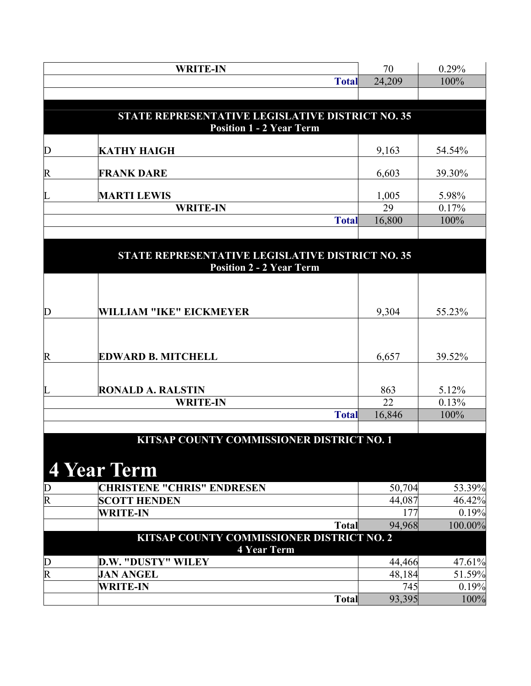|                         | <b>WRITE-IN</b>                                                                     | 70     | 0.29%   |
|-------------------------|-------------------------------------------------------------------------------------|--------|---------|
|                         | <b>Total</b>                                                                        | 24,209 | 100%    |
|                         |                                                                                     |        |         |
|                         | STATE REPRESENTATIVE LEGISLATIVE DISTRICT NO. 35<br><b>Position 1 - 2 Year Term</b> |        |         |
| D                       | <b>KATHY HAIGH</b>                                                                  | 9,163  | 54.54%  |
| R                       | <b>FRANK DARE</b>                                                                   | 6,603  | 39.30%  |
| L                       | <b>MARTI LEWIS</b>                                                                  | 1,005  | 5.98%   |
|                         | <b>WRITE-IN</b>                                                                     | 29     | 0.17%   |
|                         | <b>Total</b>                                                                        | 16,800 | 100%    |
|                         |                                                                                     |        |         |
|                         | STATE REPRESENTATIVE LEGISLATIVE DISTRICT NO. 35<br><b>Position 2 - 2 Year Term</b> |        |         |
|                         |                                                                                     |        |         |
| D                       | WILLIAM "IKE" EICKMEYER                                                             | 9,304  | 55.23%  |
|                         |                                                                                     |        |         |
| R                       | <b>EDWARD B. MITCHELL</b>                                                           | 6,657  | 39.52%  |
|                         |                                                                                     |        |         |
| L                       | <b>RONALD A. RALSTIN</b>                                                            | 863    | 5.12%   |
|                         | <b>WRITE-IN</b>                                                                     | 22     | 0.13%   |
|                         | <b>Total</b>                                                                        | 16,846 | 100%    |
|                         | KITSAP COUNTY COMMISSIONER DISTRICT NO. 1                                           |        |         |
|                         | <b>4 Year Term</b>                                                                  |        |         |
| D                       | <b>CHRISTENE "CHRIS" ENDRESEN</b>                                                   | 50,704 | 53.39%  |
| R                       | <b>SCOTT HENDEN</b>                                                                 | 44,087 | 46.42%  |
|                         | <b>WRITE-IN</b>                                                                     | 177    | 0.19%   |
|                         | <b>Total</b>                                                                        | 94,968 | 100.00% |
|                         | KITSAP COUNTY COMMISSIONER DISTRICT NO. 2<br><b>4 Year Term</b>                     |        |         |
| D                       | <b>D.W. "DUSTY" WILEY</b>                                                           | 44,466 | 47.61%  |
| $\overline{\mathrm{R}}$ | <b>JAN ANGEL</b>                                                                    | 48,184 | 51.59%  |
|                         | <b>WRITE-IN</b>                                                                     | 745    | 0.19%   |
|                         | <b>Total</b>                                                                        | 93,395 | 100%    |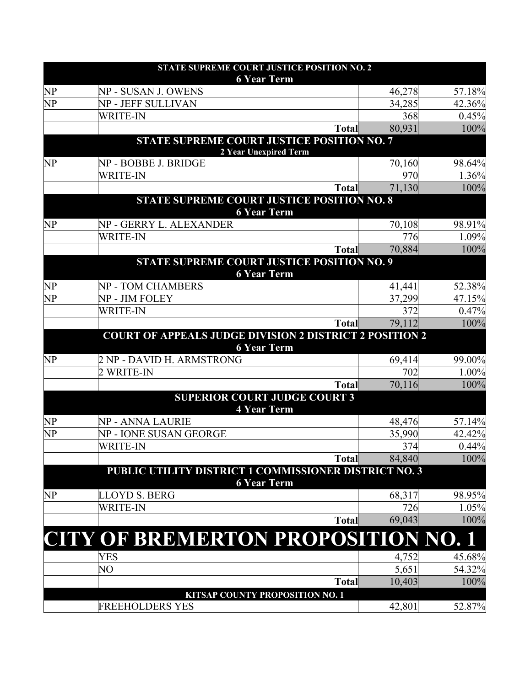| STATE SUPREME COURT JUSTICE POSITION NO. 2<br><b>6 Year Term</b> |                                                                             |              |               |                 |
|------------------------------------------------------------------|-----------------------------------------------------------------------------|--------------|---------------|-----------------|
| NP                                                               | NP - SUSAN J. OWENS                                                         |              | 46,278        | 57.18%          |
| NP                                                               | NP - JEFF SULLIVAN                                                          |              | 34,285        | 42.36%          |
|                                                                  | <b>WRITE-IN</b>                                                             |              | 368           | 0.45%           |
|                                                                  |                                                                             | <b>Total</b> | 80,931        | 100%            |
|                                                                  | <b>STATE SUPREME COURT JUSTICE POSITION NO. 7</b><br>2 Year Unexpired Term  |              |               |                 |
| NP                                                               | NP - BOBBE J. BRIDGE                                                        |              | 70,160        | 98.64%          |
|                                                                  | <b>WRITE-IN</b>                                                             |              | 970           | 1.36%           |
|                                                                  |                                                                             | <b>Total</b> | 71,130        | 100%            |
|                                                                  | STATE SUPREME COURT JUSTICE POSITION NO. 8                                  |              |               |                 |
| NP                                                               | <b>6 Year Term</b><br>NP - GERRY L. ALEXANDER                               |              | 70,108        | 98.91%          |
|                                                                  | <b>WRITE-IN</b>                                                             |              | 776           | 1.09%           |
|                                                                  |                                                                             | <b>Total</b> | 70,884        | 100%            |
|                                                                  | STATE SUPREME COURT JUSTICE POSITION NO. 9                                  |              |               |                 |
| NP                                                               | <b>6 Year Term</b><br>NP - TOM CHAMBERS                                     |              | 41,441        | 52.38%          |
| NP                                                               | NP - JIM FOLEY                                                              |              | 37,299        | 47.15%          |
|                                                                  | <b>WRITE-IN</b>                                                             |              | 372           | 0.47%           |
|                                                                  |                                                                             | <b>Total</b> | 79,112        | 100%            |
|                                                                  | <b>COURT OF APPEALS JUDGE DIVISION 2 DISTRICT 2 POSITION 2</b>              |              |               |                 |
|                                                                  | <b>6 Year Term</b>                                                          |              |               |                 |
| NP                                                               | 2 NP - DAVID H. ARMSTRONG<br>2 WRITE-IN                                     |              | 69,414<br>702 | 99.00%<br>1.00% |
|                                                                  |                                                                             | <b>Total</b> | 70,116        | 100%            |
|                                                                  | <b>SUPERIOR COURT JUDGE COURT 3</b>                                         |              |               |                 |
|                                                                  | <b>4 Year Term</b>                                                          |              |               |                 |
| NP                                                               | NP - ANNA LAURIE                                                            |              | 48,476        | 57.14%          |
| NP                                                               | NP - IONE SUSAN GEORGE                                                      |              | 35,990        | 42.42%          |
|                                                                  | <b>WRITE-IN</b>                                                             |              | 374           | 0.44%           |
|                                                                  |                                                                             | <b>Total</b> | 84,840        | 100%            |
|                                                                  | PUBLIC UTILITY DISTRICT 1 COMMISSIONER DISTRICT NO. 3<br><b>6 Year Term</b> |              |               |                 |
| $\overline{\text{NP}}$                                           | <b>LLOYD S. BERG</b>                                                        |              | 68,317        | 98.95%          |
|                                                                  | <b>WRITE-IN</b>                                                             |              | 726           | 1.05%           |
|                                                                  |                                                                             | <b>Total</b> | 69,043        | 100%            |
|                                                                  | <b>CITY OF BREMERTON PROPOSITION NO. 1</b>                                  |              |               |                 |
|                                                                  | <b>YES</b>                                                                  |              | 4,752         | 45.68%          |
|                                                                  | NO                                                                          |              | 5,651         | 54.32%          |
|                                                                  |                                                                             | <b>Total</b> | 10,403        | 100%            |
|                                                                  | KITSAP COUNTY PROPOSITION NO. 1<br><b>FREEHOLDERS YES</b>                   |              | 42,801        | 52.87%          |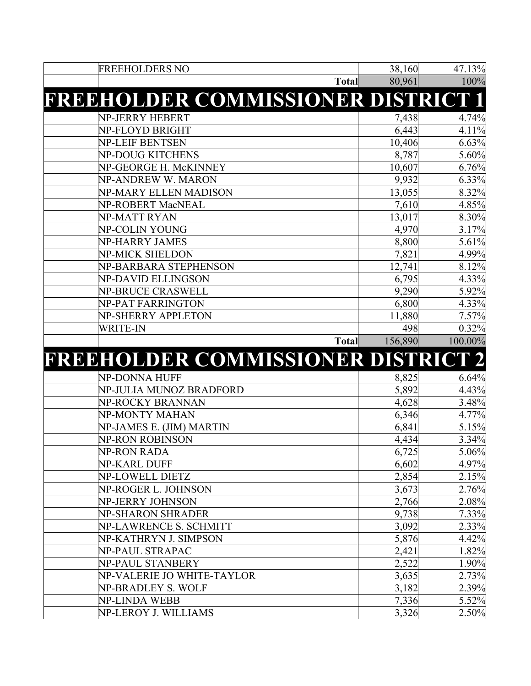|                                       |                | 47.13%         |
|---------------------------------------|----------------|----------------|
| <b>FREEHOLDERS NO</b>                 | 38,160         |                |
| <b>Total</b>                          | 80,961         | 100%           |
| FREEHOLDER COMMISSIONER DISTRICT 1    |                |                |
| <b>NP-JERRY HEBERT</b>                | 7,438          | 4.74%          |
| NP-FLOYD BRIGHT                       | 6,443          | 4.11%          |
| <b>NP-LEIF BENTSEN</b>                | 10,406         | 6.63%          |
| NP-DOUG KITCHENS                      | 8,787          | 5.60%          |
| NP-GEORGE H. McKINNEY                 | 10,607         | 6.76%          |
| NP-ANDREW W. MARON                    | 9,932          | 6.33%          |
| NP-MARY ELLEN MADISON                 | 13,055         | 8.32%          |
| NP-ROBERT MacNEAL                     | 7,610          | 4.85%          |
| NP-MATT RYAN                          | 13,017         | 8.30%          |
| NP-COLIN YOUNG                        | 4,970          | 3.17%          |
| <b>NP-HARRY JAMES</b>                 | 8,800          | 5.61%          |
| NP-MICK SHELDON                       | 7,821          | 4.99%          |
| NP-BARBARA STEPHENSON                 | 12,741         | 8.12%          |
| NP-DAVID ELLINGSON                    | 6,795          | 4.33%          |
| <b>NP-BRUCE CRASWELL</b>              | 9,290          | 5.92%          |
| NP-PAT FARRINGTON                     | 6,800          | 4.33%          |
| NP-SHERRY APPLETON                    | 11,880         | 7.57%          |
| <b>WRITE-IN</b>                       | 498            | 0.32%          |
| <b>Total</b>                          | 156,890        | 100.00%        |
| FREEHOLDER COMMISSIONER DISTRICT 2    |                |                |
| NP-DONNA HUFF                         | 8,825          | 6.64%          |
| NP-JULIA MUNOZ BRADFORD               | 5,892          | 4.43%          |
| NP-ROCKY BRANNAN                      | 4,628          | 3.48%          |
| NP-MONTY MAHAN                        | 6,346          | 4.77%          |
| NP-JAMES E. (JIM) MARTIN              | 6,841          | 5.15%          |
| NP-RON ROBINSON                       | 4,434          | 3.34%          |
| NP-RON RADA                           | 6,725          | 5.06%          |
| <b>NP-KARL DUFF</b>                   | 6,602          | 4.97%          |
| <b>NP-LOWELL DIETZ</b>                | 2,854          | 2.15%          |
| NP-ROGER L. JOHNSON                   | 3,673          | 2.76%          |
| NP-JERRY JOHNSON                      | 2,766          | 2.08%          |
| NP-SHARON SHRADER                     | 9,738          | 7.33%          |
| NP-LAWRENCE S. SCHMITT                | 3,092          | 2.33%          |
| NP-KATHRYN J. SIMPSON                 |                |                |
|                                       | 5,876          | 4.42%          |
| NP-PAUL STRAPAC                       | 2,421          | 1.82%          |
| NP-PAUL STANBERY                      | 2,522          | 1.90%          |
| NP-VALERIE JO WHITE-TAYLOR            | 3,635          | 2.73%          |
| NP-BRADLEY S. WOLF                    | 3,182          | 2.39%          |
| NP-LINDA WEBB<br>NP-LEROY J. WILLIAMS | 7,336<br>3,326 | 5.52%<br>2.50% |